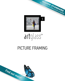

## PICTURE FRAMING

# artglass



HIGHER STANDARD OF CONSERVATION GLASS IS BORN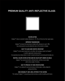## PREMIUM QUALITY ANTI-REFLECTIVE GLASS



#### NO REFLECTION

Artglass™ reduces unwanted residual reflections to <1%. This is 8 times less than regular glass.

#### IMPROVED TRANSMISSION

Artglass™ increases the transmission of light by 8%, allowing it to reach >98%, thus enhancing the true and undistorted colors of the artwork on display.

#### EASY TO CLEAN AND SCRATCH-RESISTANT

Artglass™ can be easily cleaned with a microfiber cloth and glass cleaner by Groglass® or another appropriate cleaning solution.

Our proprietary top coating makes it scratch-resistant and easy for processing and everyday use.

#### NEUTRAL COLORS IN REFLECTION AND NO COLOR SHIFT UNDER AN ANGLE

Artglass™ has neutral and uniform reflected colors, and they remain stable under various angles of viewing.

#### EASY TO PROCESS TO YOUR SPECIFICATIONS

Artglass™ can undergo the same processing as ordinary glass: cutting, edgework, gluing and printing.

#### HIGH DURABILITY AND LONG LIFETIME OF THE COATING

The coating of Artglass™ is long lasting and demonstrates excellent durability performance.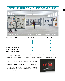## PREMIUM QUALITY ANTI-REFLECTIVE GLASS



| <b>PRODUCT DETAILS</b>                                             | ARTGLASS AR 70™ | ARTGLASS AR 92™ |
|--------------------------------------------------------------------|-----------------|-----------------|
| <b>ANTI-REFLECTIVE</b>                                             |                 |                 |
| 92% UV PROTECTION                                                  |                 |                 |
| <b>SUPREME CLARITY</b>                                             |                 |                 |
| <b>EASIEST HANDLING</b>                                            |                 |                 |
| <b>WATER WHITE SUBSTRATE</b>                                       |                 |                 |
| <b>PASSES PHOTOGRAPHIC</b><br><b>ACTIVITY TEST (PAT) ISO 18916</b> |                 |                 |

Artglass AR 70<sup> $M$ </sup> (2-3mm) – virtually invisible glass with a smooth surface that allows for details to emerge unaltered. It can be cut and glazed from either side.

Artglass AR 92<sup> $m$ </sup> (2-3mm) – with 92% UV protection and light transmission of over 98%, provides a perfect balance between protection and clarity.

Up to 2250 x 3210mm big sheets are available, while most popular are the cut-sizes, e.g., 1000 x 1600mm, 1200 x 1600mm and 1219 x 2050mm. Sheets in standard inch sizes are also available, e.g., 24" x 36", 32" x 40" and others.

Standard Artglass™ thickness is 2mm. For framing large pieces, a 3mm thick Artglass™ is offered. For those in need for shatter-resistance, a 2+2mm and 3+3mm laminated version is available.

3



q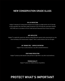## NEW CONSERVATION GRADE GLASS

#### 99% UV PROTECTION

Artglass™ absorptive UV coating protects artworks from all angles of sunlight and the risk of UV damage is nearly impossible. Only conservation-grade UV protection of over 97% meets the conservation standards of ISO 18902 and is in accordance to Fine Art Trade Guild and Professional Picture Framers Association.

#### ANTI-REFLECTIVE

Artglass™ is coated with a special anti-reflective coating offering the supreme clarity, preserving the true color, texture and beauty of the framed artwork. Artglass™ offers a neutral reflection color from all angles.

#### NO "ORANGE PEEL" SURFACE DISTORTION

Artglass™ has no surface distortion or any other unwanted interference.

#### CRISP IMAGE RESOLUTION

Artglass™ products provide absolute clarity and have no ripple effect or any other visual interference.

#### PREMIUM QUALITY

Artglass™ products are reliable and have a long lifetime.

## PROTECT WHAT'S IMPORTANT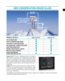## NEW CONSERVATION GRADE GLASS



| <b>PRODUCT DETAILS</b>                                             | ARTGLASS AR 99™ | ARTGLASS 99™ |
|--------------------------------------------------------------------|-----------------|--------------|
| 99% UV PROTECTION                                                  |                 |              |
| <b>HELPS TO PREVENT FROM FADING</b>                                |                 |              |
| <b>LESS THAN 1% LIGHT REFLECTION</b>                               |                 |              |
| NO "ORANGE PEEL" SURFACE DISTORTION                                |                 |              |
| <b>CRISP IMAGE RESOLUTION</b>                                      |                 |              |
| NEUTRAL COLOR FROM ALL ANGLES                                      |                 |              |
| <b>MEETS ISO 18902 STANDARD</b>                                    |                 |              |
| <b>PASSES PHOTOGRAPHIC</b><br><b>ACTIVITY TEST (PAT) ISO 18916</b> |                 |              |

Artglass AR 99™ (2,5mm) is the highest performance anti-reflective glass with 99% UV protection. The "invisible" glass ensures neutral reflection color and helps to prevent the treasured keepsake from fading. Artglass™ ranks the highest in the market of anti-reflective glass and now its successor Artglass AR 99™ combines superb clarity with the best possible UV protection, highly valued among industry and museum professionals.

Artglass 99™ (2mm) provides UV protection by blocking out 99% of harmful rays thus helping to prevent the treasured keepsake from fading as well as yellowing of photographs, or paper becoming brittle. Artglass 99™ uses an absorptive UV coating, which protects the artwork from all angles of harmful rays.

5



UV coated glass is recommended for sentimental values: photos, autographs, maps, needleworks, awards as well as watercolors, pastels, pencil drawings, digital prints, graphic arts.

q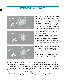## EDUCATIONAL INSIGHT



Artglass AR  $99<sup>™</sup>$  is coated on both sides – a very special anti-reflective coating is applied on both surfaces offering the supreme clarity only possible from Groglass®. One of the sides is additionally coated with an absorptive UV filter, which is applied by specialty roller coater to leave no sign of distortion or interference. The result is a clear super transparent conservation grade class.

Artglass 99™ is manufactured by applying the same absorptive UV filter.

The products which have the organic absorptive coating require additional attention:

- Make sure that the glass is cut from the noncoated side which is indicated on each sheet;
- Make sure that the coated side faces the artwork.

The anti-reflective coating is achieved by using an innovative nanotechnology tool of Groglass® which coats glass with multi-layer molecular thin films.

The durable and smooth anti-reflective coating allows Artglass AR 70™ and Artglass AR 92™ products to achieve the highest level of transparency.

6

You might ask what is better – Artglass™ with absorptive or reflective UV coating? Let us review your choices:

1. Absorptive coating will block more than 99% of UV light, however it will also absorb some of the visible light and thus reduce its transmission by a small amount. Glass with absorptive coating is also less scratch resistant and requires special handling, compared to glass with reflective UV coating. Choose this type of glass when UV protection outweighs the need for absolute clarity.

2. Glass with reflective UV coating can block out 92% of UV rays with no adverse effect on the transmission of visible light. Choose this type of glass when you are looking for a flawless clarity and optimal UV protection.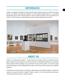## **REFERENCES**

Groglass® is supplying anti-reflective and other high performance coatings on glass since 2009. Our innovative and the most modern technology has enabled us to achieve highest quality products in a very efficient manufacturing process. We are always looking for ways to improve and adjust to the actual needs of our customers. This has made us a trusted supplier to many successful companies across the world.



## ABOUT US

Artglass™ is manufactured by Groglass® – located in Riga, Latvia. Groglass® delivers anti-reflective and other types of highest performance glass to more than 45 countries for many different applications such as picture framing, high-end electronic displays, luxury architecture and many other solutions. Our premium quality picture framing glass is used by independent frame shops, as well as by the finest museums and art galleries worldwide.

Professionals, who work with glass on a daily basis, appreciate the easy handling of Artglass™ products and everyone can enjoy the full value of Artglass™ features, whether it is the crystal clear light transmission, conservation grade UV protection or shatter resistance.